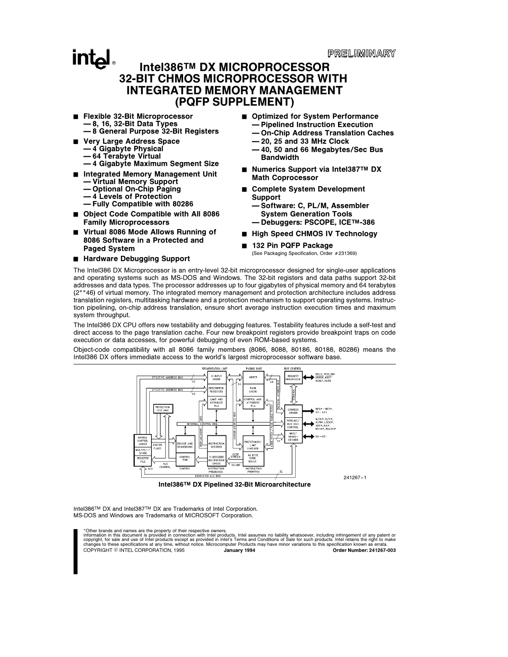PRELIMINARY

#### **intel** Intel386TM DX MICROPROCESSOR 32-BIT CHMOS MICROPROCESSOR WITH INTEGRATED MEMORY MANAGEMENT (PQFP SUPPLEMENT)

- Flexible 32-Bit Microprocessor Ð 8, 16, 32-Bit Data Types Ð 8 General Purpose 32-Bit Registers
- Very Large Address Space
- Ð 4 Gigabyte Physical
	- Ð 64 Terabyte Virtual
- Ð 4 Gigabyte Maximum Segment Size
- Integrated Memory Management Unit
	- Ð Virtual Memory Support
	- Optional On-Chip Paging
	- Ð 4 Levels of Protection Ð Fully Compatible with 80286
- Object Code Compatible with All 8086 Family Microprocessors
- Virtual 8086 Mode Allows Running of 8086 Software in a Protected and Paged System
- Hardware Debugging Support
- Optimized for System Performance
	- Ð Pipelined Instruction Execution
	- Ð On-Chip Address Translation Caches
	- $-20$ , 25 and 33 MHz Clock
	- Ð 40, 50 and 66 Megabytes/Sec Bus Bandwidth
- Numerics Support via Intel387™ DX Math Coprocessor
- Complete System Development Support
	- Ð Software: C, PL/M, Assembler System Generation Tools
	- Ð Debuggers: PSCOPE, ICETM-386
- High Speed CHMOS IV Technology
- 132 Pin PQFP Package

(See Packaging Specification, Order #231369)

The Intel386 DX Microprocessor is an entry-level 32-bit microprocessor designed for single-user applications and operating systems such as MS-DOS and Windows. The 32-bit registers and data paths support 32-bit addresses and data types. The processor addresses up to four gigabytes of physical memory and 64 terabytes (2\*\*46) of virtual memory. The integrated memory management and protection architecture includes address translation registers, multitasking hardware and a protection mechanism to support operating systems. Instruction pipelining, on-chip address translation, ensure short average instruction execution times and maximum system throughput.

The Intel386 DX CPU offers new testability and debugging features. Testability features include a self-test and direct access to the page translation cache. Four new breakpoint registers provide breakpoint traps on code execution or data accesses, for powerful debugging of even ROM-based systems.

Object-code compatibility with all 8086 family members (8086, 8088, 80186, 80188, 80286) means the Intel386 DX offers immediate access to the world's largest microprocessor software base.



Intel386TM DX and Intel387TM DX are Trademarks of Intel Corporation. MS-DOS and Windows are Trademarks of MICROSOFT Corporation.

\*Other brands and names are the property of their respective owners.

Information in this document is provided in connection with Intel products. Intel assumes no liability whatsoever, including infringement of any patent or<br>copyright, for sale and use of Intel products except as provided in COPYRIGHT © INTEL CORPORATION, 1995 January 1994 January 1994 Order Number: 241267-003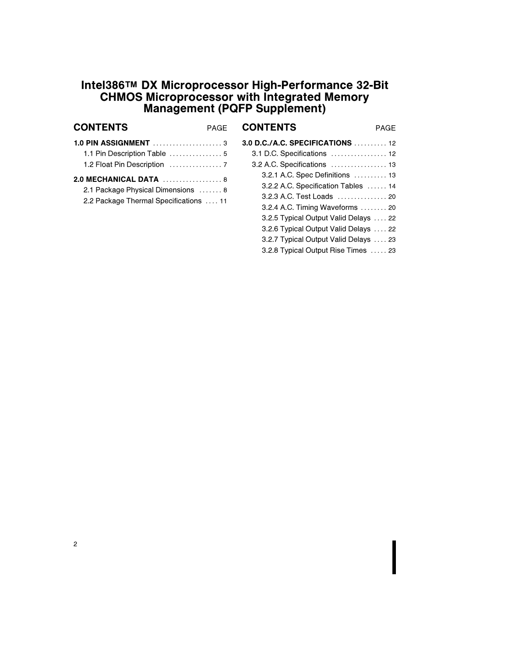### Intel386TM DX Microprocessor High-Performance 32-Bit CHMOS Microprocessor with Integrated Memory Management (PQFP Supplement)

| <b>CONTENTS</b>                        | <b>PAGF</b> | <b>CONTENTS</b>                                          | <b>PAGE</b> |
|----------------------------------------|-------------|----------------------------------------------------------|-------------|
|                                        |             | 3.0 D.C./A.C. SPECIFICATIONS  12                         |             |
|                                        |             | 3.1 D.C. Specifications  12                              |             |
|                                        |             | $3.2$ A.C. Specifications $\dots\dots\dots\dots\dots$ 13 |             |
| 2.0 MECHANICAL DATA  8                 |             | 3.2.1 A.C. Spec Definitions  13                          |             |
| 2.1 Package Physical Dimensions  8     |             | 3.2.2 A.C. Specification Tables  14                      |             |
| 2.2 Package Thermal Specifications  11 |             | 3.2.3 A.C. Test Loads  20                                |             |
|                                        |             | 3.2.4 A.C. Timing Waveforms  20                          |             |
|                                        |             | 3.2.5 Typical Output Valid Delays  22                    |             |
|                                        |             | 3.2.6 Typical Output Valid Delays  22                    |             |
|                                        |             | 3.2.7 Typical Output Valid Delays  23                    |             |
|                                        |             | 3.2.8 Typical Output Rise Times  23                      |             |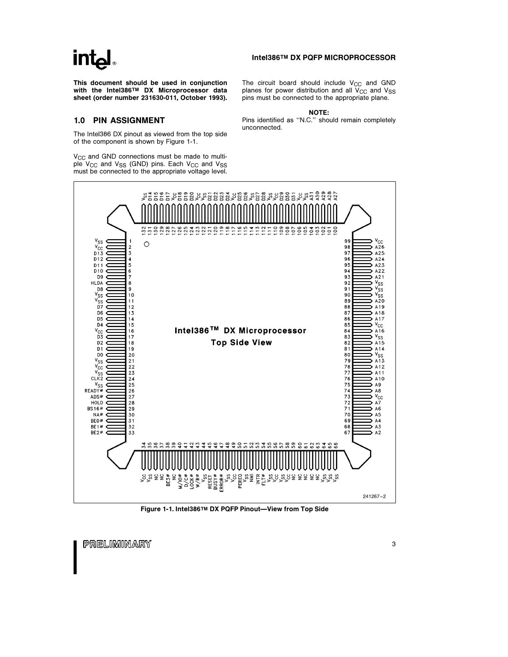### <u>intم</u>

This document should be used in conjunction with the Intel386TM DX Microprocessor data sheet (order number 231630-011, October 1993).

#### 1.0 PIN ASSIGNMENT

The Intel386 DX pinout as viewed from the top side of the component is shown by Figure 1-1.

 $V_{\text{CC}}$  and GND connections must be made to multiple  $V_{CC}$  and  $V_{SS}$  (GND) pins. Each  $V_{CC}$  and  $V_{SS}$ must be connected to the appropriate voltage level.

Intel386TM DX PQFP MICROPROCESSOR

The circuit board should include  $V_{CC}$  and GND planes for power distribution and all  $V_{CC}$  and  $V_{SS}$ pins must be connected to the appropriate plane.

NOTE:

Pins identified as ''N.C.'' should remain completely unconnected.



Figure 1-1. Intel386™ DX PQFP Pinout-View from Top Side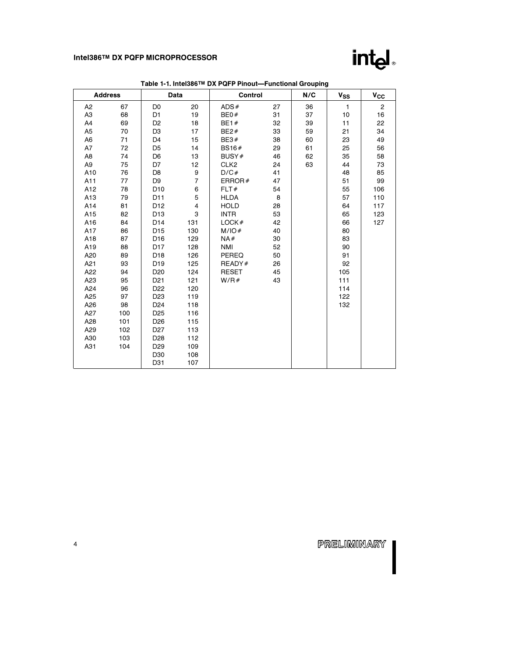

|                | <b>Address</b> |                 | Data           | Control          |    | N/C | $v_{SS}$     | $v_{\rm cc}$ |
|----------------|----------------|-----------------|----------------|------------------|----|-----|--------------|--------------|
| A <sub>2</sub> | 67             | D <sub>0</sub>  | 20             | ADS#             | 27 | 36  | $\mathbf{1}$ | $\mathbf{2}$ |
| A <sub>3</sub> | 68             | D <sub>1</sub>  | 19             | BE0#             | 31 | 37  | 10           | 16           |
| A4             | 69             | D <sub>2</sub>  | 18             | <b>BE1#</b>      | 32 | 39  | 11           | 22           |
| A <sub>5</sub> | 70             | D <sub>3</sub>  | 17             | BE2#             | 33 | 59  | 21           | 34           |
| A <sub>6</sub> | 71             | D <sub>4</sub>  | 15             | BE3#             | 38 | 60  | 23           | 49           |
| A7             | 72             | D <sub>5</sub>  | 14             | BS16#            | 29 | 61  | 25           | 56           |
| A <sub>8</sub> | 74             | D <sub>6</sub>  | 13             | BUSY#            | 46 | 62  | 35           | 58           |
| A <sub>9</sub> | 75             | D7              | 12             | CLK <sub>2</sub> | 24 | 63  | 44           | 73           |
| A10            | 76             | D <sub>8</sub>  | 9              | D/C#             | 41 |     | 48           | 85           |
| A11            | 77             | D <sub>9</sub>  | $\overline{7}$ | ERROR $#$        | 47 |     | 51           | 99           |
| A12            | 78             | D <sub>10</sub> | 6              | FLT#             | 54 |     | 55           | 106          |
| A13            | 79             | D11             | 5              | <b>HLDA</b>      | 8  |     | 57           | 110          |
| A14            | 81             | D <sub>12</sub> | 4              | <b>HOLD</b>      | 28 |     | 64           | 117          |
| A15            | 82             | D <sub>13</sub> | 3              | <b>INTR</b>      | 53 |     | 65           | 123          |
| A16            | 84             | D <sub>14</sub> | 131            | LOCK#            | 42 |     | 66           | 127          |
| A17            | 86             | D <sub>15</sub> | 130            | M/IO#            | 40 |     | 80           |              |
| A18            | 87             | D <sub>16</sub> | 129            | NA#              | 30 |     | 83           |              |
| A19            | 88             | D <sub>17</sub> | 128            | NMI              | 52 |     | 90           |              |
| A20            | 89             | D <sub>18</sub> | 126            | <b>PEREQ</b>     | 50 |     | 91           |              |
| A21            | 93             | D <sub>19</sub> | 125            | READY#           | 26 |     | 92           |              |
| A22            | 94             | D <sub>20</sub> | 124            | RESET            | 45 |     | 105          |              |
| A23            | 95             | D <sub>21</sub> | 121            | W/R#             | 43 |     | 111          |              |
| A24            | 96             | D <sub>22</sub> | 120            |                  |    |     | 114          |              |
| A25            | 97             | D <sub>23</sub> | 119            |                  |    |     | 122          |              |
| A26            | 98             | D <sub>24</sub> | 118            |                  |    |     | 132          |              |
| A27            | 100            | D <sub>25</sub> | 116            |                  |    |     |              |              |
| A28            | 101            | D <sub>26</sub> | 115            |                  |    |     |              |              |
| A29            | 102            | D <sub>27</sub> | 113            |                  |    |     |              |              |
| A30            | 103            | D28             | 112            |                  |    |     |              |              |
| A31            | 104            | D <sub>29</sub> | 109            |                  |    |     |              |              |
|                |                | D30             | 108            |                  |    |     |              |              |
|                |                | D31             | 107            |                  |    |     |              |              |

Table 1-1. Intel386™ DX PQFP Pinout—Functional Grouping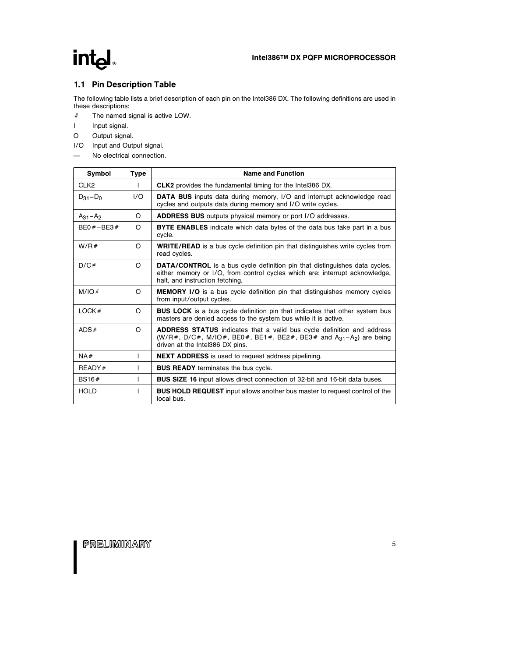### intel

#### 1.1 Pin Description Table

The following table lists a brief description of each pin on the Intel386 DX. The following definitions are used in these descriptions:

- $#$  The named signal is active LOW.
- I Input signal.
- O Output signal.
- I/O Input and Output signal.
- No electrical connection.

| Symbol           | <b>Type</b> | <b>Name and Function</b>                                                                                                                                                                                           |
|------------------|-------------|--------------------------------------------------------------------------------------------------------------------------------------------------------------------------------------------------------------------|
| CLK <sub>2</sub> |             | <b>CLK2</b> provides the fundamental timing for the Intel386 DX.                                                                                                                                                   |
| $D_{31} - D_0$   | 1/O         | <b>DATA BUS</b> inputs data during memory, I/O and interrupt acknowledge read<br>cycles and outputs data during memory and I/O write cycles.                                                                       |
| $A_{31} - A_2$   | O           | <b>ADDRESS BUS</b> outputs physical memory or port I/O addresses.                                                                                                                                                  |
| $BE0# - BE3#$    | $\Omega$    | <b>BYTE ENABLES</b> indicate which data bytes of the data bus take part in a bus<br>cycle.                                                                                                                         |
| W/R#             | O           | <b>WRITE/READ</b> is a bus cycle definition pin that distinguishes write cycles from<br>read cycles.                                                                                                               |
| D/C#             | O           | <b>DATA/CONTROL</b> is a bus cycle definition pin that distinguishes data cycles,<br>either memory or I/O, from control cycles which are: interrupt acknowledge,<br>halt, and instruction fetching.                |
| M/IO#            | O           | <b>MEMORY I/O</b> is a bus cycle definition pin that distinguishes memory cycles<br>from input/output cycles.                                                                                                      |
| LOCK#            | O           | <b>BUS LOCK</b> is a bus cycle definition pin that indicates that other system bus<br>masters are denied access to the system bus while it is active.                                                              |
| ADS#             | $\Omega$    | <b>ADDRESS STATUS</b> indicates that a valid bus cycle definition and address<br>$(W/R, \#, D/C, \#, M/IO, \#, BE0, \#, BE1, \#, BE2, \#, BE3, \# and A_{31} - A_{2}$ are being<br>driven at the Intel386 DX pins. |
| NA#              | I           | <b>NEXT ADDRESS</b> is used to request address pipelining.                                                                                                                                                         |
| READV#           | I           | <b>BUS READY</b> terminates the bus cycle.                                                                                                                                                                         |
| BS16#            | L           | <b>BUS SIZE 16</b> input allows direct connection of 32-bit and 16-bit data buses.                                                                                                                                 |
| <b>HOLD</b>      |             | <b>BUS HOLD REQUEST</b> input allows another bus master to request control of the<br>local bus.                                                                                                                    |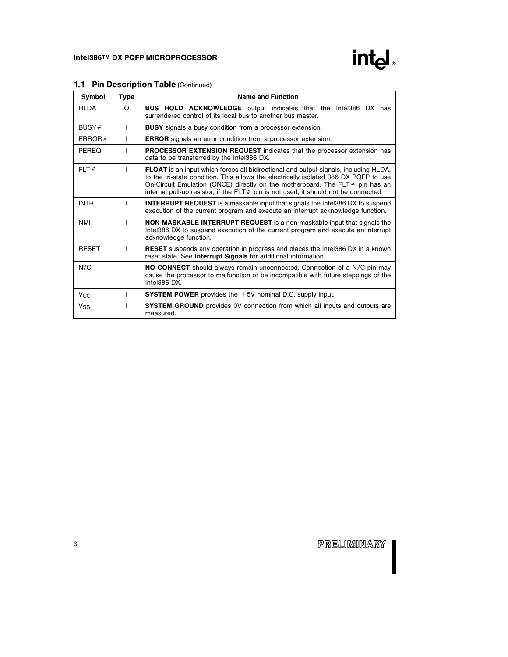



| Symbol                | <b>Type</b> | <b>Name and Function</b>                                                                                                                                                                                                                                                                                                                                             |  |  |  |  |  |  |
|-----------------------|-------------|----------------------------------------------------------------------------------------------------------------------------------------------------------------------------------------------------------------------------------------------------------------------------------------------------------------------------------------------------------------------|--|--|--|--|--|--|
| <b>HLDA</b>           | O           | <b>BUS HOLD ACKNOWLEDGE</b> output indicates that the Intel386 DX has<br>surrendered control of its local bus to another bus master.                                                                                                                                                                                                                                 |  |  |  |  |  |  |
| BUSY#                 | T           | <b>BUSY</b> signals a busy condition from a processor extension.                                                                                                                                                                                                                                                                                                     |  |  |  |  |  |  |
| ERROR $#$             | L           | <b>ERROR</b> signals an error condition from a processor extension.                                                                                                                                                                                                                                                                                                  |  |  |  |  |  |  |
| PEREQ                 | T           | <b>PROCESSOR EXTENSION REQUEST</b> indicates that the processor extension has<br>data to be transferred by the Intel386 DX.                                                                                                                                                                                                                                          |  |  |  |  |  |  |
| FLT#                  |             | <b>FLOAT</b> is an input which forces all bidirectional and output signals, including HLDA,<br>to the tri-state condition. This allows the electrically isolated 386 DX PQFP to use<br>On-Circuit Emulation (ONCE) directly on the motherboard. The $FLT \neq p$ pin has an<br>internal pull-up resistor; if the $FLT#$ pin is not used, it should not be connected. |  |  |  |  |  |  |
| <b>INTR</b>           |             | <b>INTERRUPT REQUEST</b> is a maskable input that signals the Intel386 DX to suspend<br>execution of the current program and execute an interrupt acknowledge function.                                                                                                                                                                                              |  |  |  |  |  |  |
| <b>NMI</b>            |             | <b>NON-MASKABLE INTERRUPT REQUEST</b> is a non-maskable input that signals the<br>Intel386 DX to suspend execution of the current program and execute an interrupt<br>acknowledge function.                                                                                                                                                                          |  |  |  |  |  |  |
| <b>RESET</b>          |             | <b>RESET</b> suspends any operation in progress and places the Intel386 DX in a known<br>reset state. See Interrupt Signals for additional information.                                                                                                                                                                                                              |  |  |  |  |  |  |
| N/C                   |             | NO CONNECT should always remain unconnected. Connection of a N/C pin may<br>cause the processor to malfunction or be incompatible with future steppings of the<br>Intel386 DX.                                                                                                                                                                                       |  |  |  |  |  |  |
| $V_{\rm CC}$          |             | <b>SYSTEM POWER</b> provides the $+5V$ nominal D.C. supply input.                                                                                                                                                                                                                                                                                                    |  |  |  |  |  |  |
| <b>V<sub>SS</sub></b> |             | <b>SYSTEM GROUND</b> provides 0V connection from which all inputs and outputs are<br>measured.                                                                                                                                                                                                                                                                       |  |  |  |  |  |  |

#### 1.1 Pin Description Table (Continued)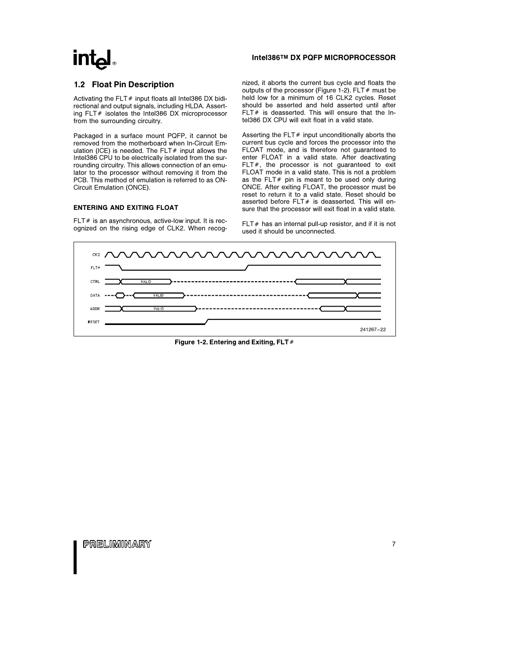### **intel**

#### Intel386TM DX PQFP MICROPROCESSOR

#### 1.2 Float Pin Description

Activating the FLT  $#$  input floats all Intel386 DX bidirectional and output signals, including HLDA. Asserting  $FLT#$  isolates the Intel386 DX microprocessor from the surrounding circuitry.

Packaged in a surface mount PQFP, it cannot be removed from the motherboard when In-Circuit Emulation (ICE) is needed. The FLT $#$  input allows the Intel386 CPU to be electrically isolated from the surrounding circuitry. This allows connection of an emulator to the processor without removing it from the PCB. This method of emulation is referred to as ON-Circuit Emulation (ONCE).

#### ENTERING AND EXITING FLOAT

FLT  $#$  is an asynchronous, active-low input. It is recognized on the rising edge of CLK2. When recognized, it aborts the current bus cycle and floats the outputs of the processor (Figure 1-2). FLT  $#$  must be held low for a minimum of 16 CLK2 cycles. Reset should be asserted and held asserted until after FLT $#$  is deasserted. This will ensure that the Intel386 DX CPU will exit float in a valid state.

Asserting the FLT $#$  input unconditionally aborts the current bus cycle and forces the processor into the FLOAT mode, and is therefore not guaranteed to enter FLOAT in a valid state. After deactivating FLT $#$ , the processor is not quaranteed to exit FLOAT mode in a valid state. This is not a problem as the FLT $#$  pin is meant to be used only during ONCE. After exiting FLOAT, the processor must be reset to return it to a valid state. Reset should be asserted before  $FLT#$  is deasserted. This will ensure that the processor will exit float in a valid state.

FLT $#$  has an internal pull-up resistor, and if it is not used it should be unconnected.



Figure 1-2. Entering and Exiting, FLT  $#$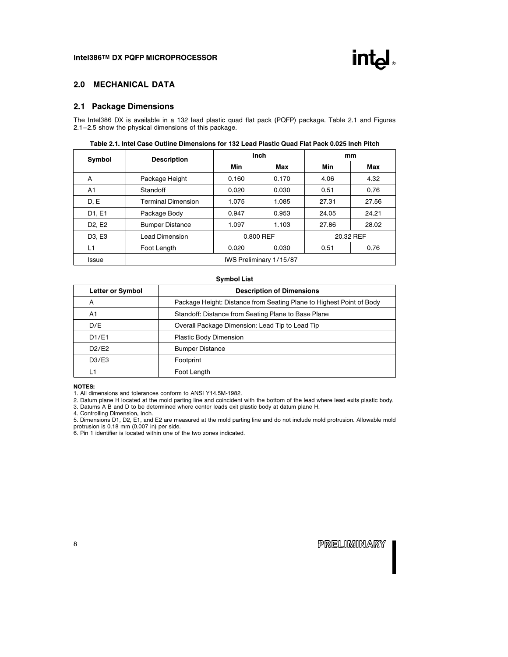

#### 2.0 MECHANICAL DATA

#### 2.1 Package Dimensions

The Intel386 DX is available in a 132 lead plastic quad flat pack (PQFP) package. Table 2.1 and Figures 2.1 –2.5 show the physical dimensions of this package.

| Symbol                          | <b>Description</b>        |           | Inch  | mm    |           |  |  |
|---------------------------------|---------------------------|-----------|-------|-------|-----------|--|--|
|                                 |                           | Min       | Max   | Min   | Max       |  |  |
| A                               | Package Height            | 0.160     | 0.170 | 4.06  | 4.32      |  |  |
| A1                              | Standoff                  | 0.020     | 0.030 | 0.51  | 0.76      |  |  |
| D, E                            | <b>Terminal Dimension</b> | 1.075     | 1.085 | 27.31 | 27.56     |  |  |
| D1, E1                          | Package Body              | 0.947     | 0.953 | 24.05 | 24.21     |  |  |
| D <sub>2</sub> , E <sub>2</sub> | <b>Bumper Distance</b>    | 1.097     | 1.103 | 27.86 | 28.02     |  |  |
| D <sub>3</sub> , E <sub>3</sub> | Lead Dimension            | 0.800 REF |       |       | 20.32 REF |  |  |
| L1                              | Foot Length               | 0.020     | 0.030 | 0.51  | 0.76      |  |  |
| Issue                           | IWS Preliminary 1/15/87   |           |       |       |           |  |  |

#### Table 2.1. Intel Case Outline Dimensions for 132 Lead Plastic Quad Flat Pack 0.025 Inch Pitch

#### Symbol List

| <b>Letter or Symbol</b> | <b>Description of Dimensions</b>                                     |
|-------------------------|----------------------------------------------------------------------|
| A                       | Package Height: Distance from Seating Plane to Highest Point of Body |
| A1                      | Standoff: Distance from Seating Plane to Base Plane                  |
| D/E                     | Overall Package Dimension: Lead Tip to Lead Tip                      |
| D1/E1                   | Plastic Body Dimension                                               |
| D2/E2                   | <b>Bumper Distance</b>                                               |
| D3/E3                   | Footprint                                                            |
| L1                      | Foot Length                                                          |

#### NOTES:

1. All dimensions and tolerances conform to ANSI Y14.5M-1982.

2. Datum plane H located at the mold parting line and coincident with the bottom of the lead where lead exits plastic body.

3. Datums A B and D to be determined where center leads exit plastic body at datum plane H.

4. Controlling Dimension, Inch.

5. Dimensions D1, D2, E1, and E2 are measured at the mold parting line and do not include mold protrusion. Allowable mold protrusion is 0.18 mm (0.007 in) per side. 6. Pin 1 identifier is located within one of the two zones indicated.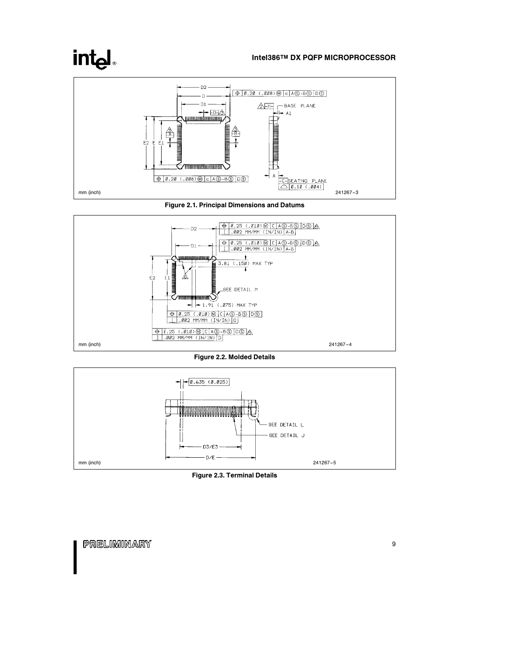# int<sub>el</sub>

#### Intel386TM DX PQFP MICROPROCESSOR







Figure 2.2. Molded Details



Figure 2.3. Terminal Details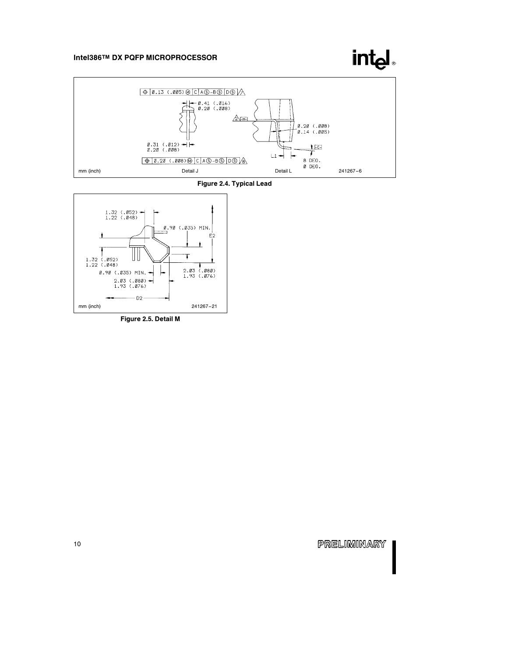### **intel**



#### Figure 2.4. Typical Lead



Figure 2.5. Detail M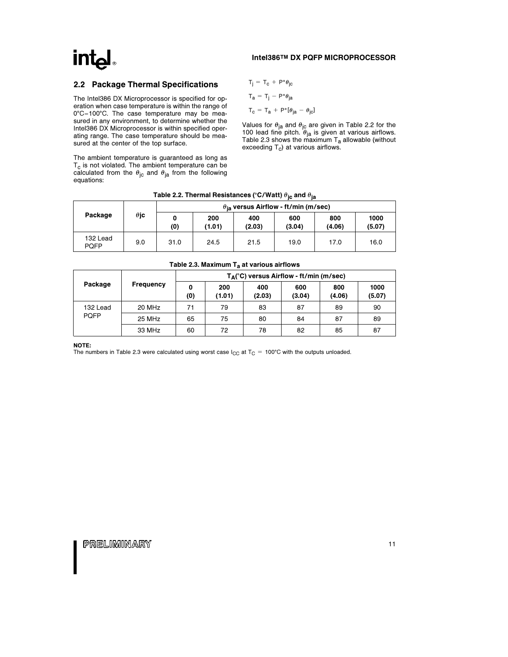# int<sub>e</sub>

#### Intel386TM DX PQFP MICROPROCESSOR

#### 2.2 Package Thermal Specifications

The Intel386 DX Microprocessor is specified for operation when case temperature is within the range of 0°C-100°C. The case temperature may be measured in any environment, to determine whether the Intel386 DX Microprocessor is within specified operating range. The case temperature should be measured at the center of the top surface.

The ambient temperature is guaranteed as long as  $T_c$  is not violated. The ambient temperature can be calculated from the  $\theta_{\rm jc}$  and  $\theta_{\rm ja}$  from the following equations:

$$
\begin{aligned} T_j &= T_c + P^* \theta_{jc} \\ T_a &= T_j - P^* \theta_{ja} \\ T_c &= T_a + P^* [\theta_{ja} - \theta_{jc}] \end{aligned}
$$

Values for  $\theta_{\sf ja}$  and  $\theta_{\sf jc}$  are given in Table 2.2 for the 100 lead fine pitch.  $\theta_{ja}$  is given at various airflows. Table 2.3 shows the maximum  ${\mathsf T}_{\mathsf a}$  allowable (without exceeding  $T_c$ ) at various airflows.

| Package                 |             | $\theta_{\rm ia}$ versus Airflow - ft/min (m/sec) |               |               |               |               |                |  |
|-------------------------|-------------|---------------------------------------------------|---------------|---------------|---------------|---------------|----------------|--|
|                         | $\theta$ jc | (0)                                               | 200<br>(1.01) | 400<br>(2.03) | 600<br>(3.04) | 800<br>(4.06) | 1000<br>(5.07) |  |
| 132 Lead<br><b>POFP</b> | 9.0         | 31.0                                              | 24.5          | 21.5          | 19.0          | 17.0          | 16.0           |  |

#### Table 2.2. Thermal Resistances (°C/Watt)  $\theta_{\text{ic}}$  and  $\theta_{\text{ia}}$

| Table 2.3. Maximum $T_a$ at various airflows |                  |          |                                            |               |               |               |                |  |  |
|----------------------------------------------|------------------|----------|--------------------------------------------|---------------|---------------|---------------|----------------|--|--|
|                                              |                  |          | $T_A$ (°C) versus Airflow - ft/min (m/sec) |               |               |               |                |  |  |
| Package                                      | <b>Frequency</b> | 0<br>(0) | 200<br>(1.01)                              | 400<br>(2.03) | 600<br>(3.04) | 800<br>(4.06) | 1000<br>(5.07) |  |  |
| 132 Lead                                     | 20 MHz           | 71       | 79                                         | 83            | 87            | 89            | 90             |  |  |
| <b>PQFP</b>                                  | 25 MHz           | 65       | 75                                         | 80            | 84            | 87            | 89             |  |  |
|                                              | 33 MHz           | 60       | 72                                         | 78            | 82            | 85            | 87             |  |  |

NOTE: The numbers in Table 2.3 were calculated using worst case  $I_{\rm CG}$  at T<sub>C</sub> = 100°C with the outputs unloaded.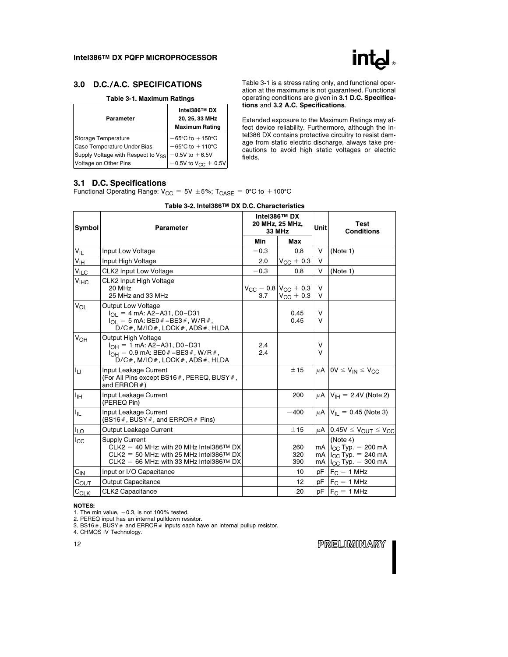

#### 3.0 D.C./A.C. SPECIFICATIONS

#### Table 3-1. Maximum Ratings

| Parameter                          | Intel386™ DX<br>20, 25, 33 MHz<br><b>Maximum Rating</b> |  |  |  |  |
|------------------------------------|---------------------------------------------------------|--|--|--|--|
| Storage Temperature                | $-65^{\circ}$ C to $+150^{\circ}$ C                     |  |  |  |  |
| Case Temperature Under Bias        | $-65^{\circ}$ C to $+110^{\circ}$ C                     |  |  |  |  |
| Supply Voltage with Respect to Vss | $-0.5V$ to $+6.5V$                                      |  |  |  |  |
| Voltage on Other Pins              | $-0.5V$ to $V_{CC}$ + 0.5V                              |  |  |  |  |

Table 3-1 is a stress rating only, and functional operation at the maximums is not guaranteed. Functional operating conditions are given in 3.1 D.C. Specifications and 3.2 A.C. Specifications.

Extended exposure to the Maximum Ratings may affect device reliability. Furthermore, although the Intel386 DX contains protective circuitry to resist damage from static electric discharge, always take precautions to avoid high static voltages or electric fields.

#### 3.1 D.C. Specifications

Functional Operating Range:  $V_{CC} = 5V \pm 5\%$ ; T<sub>CASE</sub> = 0°C to +100°C

| Symbol                 | Parameter                                                                                                                                                                         |            | Intel386™ DX<br>20 MHz, 25 MHz,<br><b>33 MHz</b>               | Unit           | Test<br><b>Conditions</b>                                                                      |  |
|------------------------|-----------------------------------------------------------------------------------------------------------------------------------------------------------------------------------|------------|----------------------------------------------------------------|----------------|------------------------------------------------------------------------------------------------|--|
|                        |                                                                                                                                                                                   | Min        | Max                                                            |                |                                                                                                |  |
| $V_{IL}$               | Input Low Voltage                                                                                                                                                                 | $-0.3$     | 0.8                                                            | V              | (Note 1)                                                                                       |  |
| V <sub>IH</sub>        | Input High Voltage                                                                                                                                                                | 2.0        | $V_{\rm CC}$ + 0.3                                             | V              |                                                                                                |  |
| $V_{\text{ILC}}$       | <b>CLK2 Input Low Voltage</b>                                                                                                                                                     | $-0.3$     | 0.8                                                            | V              | (Note 1)                                                                                       |  |
| <b>V<sub>IHC</sub></b> | <b>CLK2 Input High Voltage</b><br>20 MHz<br>25 MHz and 33 MHz                                                                                                                     | 3.7        | $V_{\rm CC}$ – 0.8 $V_{\rm CC}$ + 0.3<br>$V_{\text{CC}} + 0.3$ | V<br>V         |                                                                                                |  |
| <b>V<sub>OL</sub></b>  | <b>Output Low Voltage</b><br>$I_{\Omega1} = 4$ mA: A2-A31, D0-D31<br>$I_{\text{O}} = 5$ mA: BE0 # -BE3 #, W/R #,<br>$D/C#$ , M/IO#, LOCK#, ADS#, HLDA                             |            | 0.45<br>0.45                                                   | V<br>V         |                                                                                                |  |
| $V_{OH}$               | Output High Voltage<br>$I_{OH} = 1$ mA: A2-A31, D0-D31<br>$I_{OH} = 0.9$ mA: BE0 $#$ –BE3 $#$ , W/R $#$ ,<br>$D/C#$ , M/IO#, LOCK#, ADS#, HLDA                                    | 2.4<br>2.4 |                                                                | V<br>V         |                                                                                                |  |
| ĪЦ                     | Input Leakage Current<br>(For All Pins except BS16#, PEREQ, BUSY#,<br>and $ERROR#$                                                                                                |            | ± 15                                                           |                | $\mu$ A   0V $\leq$ V <sub>IN</sub> $\leq$ V <sub>CC</sub>                                     |  |
| $I_{\text{IH}}$        | Input Leakage Current<br>(PEREQ Pin)                                                                                                                                              |            | 200                                                            |                | $\mu$ A   V <sub>IH</sub> = 2.4V (Note 2)                                                      |  |
| $I_{IL}$               | Input Leakage Current<br>(BS16#, BUSY#, and ERROR# Pins)                                                                                                                          |            | $-400$                                                         |                | $\mu$ A   V <sub>II</sub> = 0.45 (Note 3)                                                      |  |
| $I_{LO}$               | Output Leakage Current                                                                                                                                                            |            | ±15                                                            | $\mu$ A        | $0.45V \leq V_{OUT} \leq V_{CC}$                                                               |  |
| $_{\rm lcc}$           | <b>Supply Current</b><br>CLK2 = 40 MHz: with 20 MHz Intel386 <sup>TM</sup> DX<br>CLK2 = 50 MHz: with 25 MHz Intel386 <sup>TM</sup> DX<br>CLK2 = 66 MHz: with 33 MHz Intel386TM DX |            | 260<br>320<br>390                                              | mA<br>mA<br>mA | (Note 4)<br>$I_{\rm CC}$ Typ. = 200 mA<br>$I_{\rm CC}$ Typ. = 240 mA<br>$I_{CC}$ Typ. = 300 mA |  |
| $C_{\text{IN}}$        | Input or I/O Capacitance                                                                                                                                                          |            | 10                                                             | pF             | $F_C = 1$ MHz                                                                                  |  |
| $C_{\text{OUT}}$       | <b>Output Capacitance</b>                                                                                                                                                         |            | 12                                                             | pF             | $F_C = 1$ MHz                                                                                  |  |
| $C_{CLK}$              | <b>CLK2 Capacitance</b>                                                                                                                                                           |            | 20                                                             | pF             | $F_C = 1$ MHz                                                                                  |  |

#### Table 3-2. Intel386TM DX D.C. Characteristics

NOTES:

1. The min value,  $-0.3$ , is not 100% tested.

2. PEREQ input has an internal pulldown resistor.

3. BS16#, BUSY# and ERROR# inputs each have an internal pullup resistor.

4. CHMOS IV Technology.

12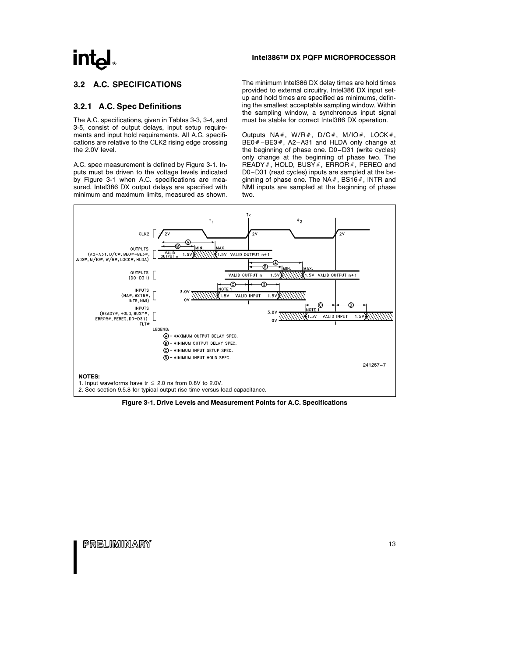### $Int_{\mathbf{a}}$

#### 3.2 A.C. SPECIFICATIONS

#### 3.2.1 A.C. Spec Definitions

The A.C. specifications, given in Tables 3-3, 3-4, and 3-5, consist of output delays, input setup requirements and input hold requirements. All A.C. specifications are relative to the CLK2 rising edge crossing the 2.0V level.

A.C. spec measurement is defined by Figure 3-1. Inputs must be driven to the voltage levels indicated by Figure 3-1 when A.C. specifications are measured. Intel386 DX output delays are specified with minimum and maximum limits, measured as shown.

#### Intel386TM DX PQFP MICROPROCESSOR

The minimum Intel386 DX delay times are hold times provided to external circuitry. Intel386 DX input setup and hold times are specified as minimums, defining the smallest acceptable sampling window. Within the sampling window, a synchronous input signal must be stable for correct Intel386 DX operation.

Outputs NA#, W/R#, D/C#, M/IO#, LOCK#, BE0 $#$ –BE3 $#$ , A2–A31 and HLDA only change at the beginning of phase one. D0 –D31 (write cycles) only change at the beginning of phase two. The READY#, HOLD, BUSY#, ERROR#, PEREQ and D0 –D31 (read cycles) inputs are sampled at the beginning of phase one. The  $NA#$ , BS16 $#$ , INTR and NMI inputs are sampled at the beginning of phase two.



Figure 3-1. Drive Levels and Measurement Points for A.C. Specifications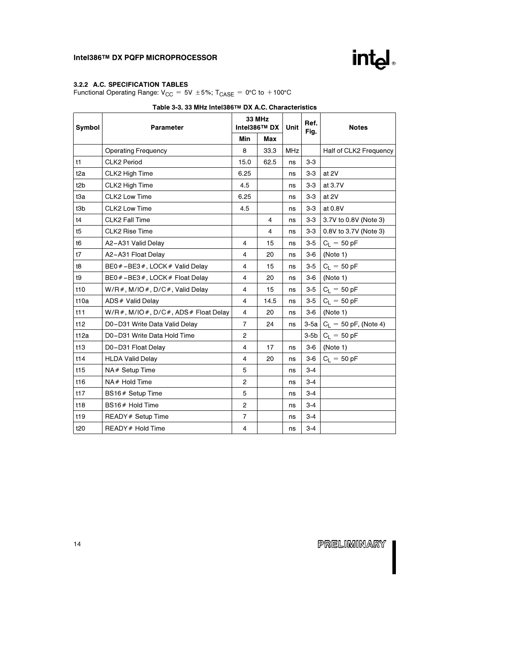

#### 3.2.2 A.C. SPECIFICATION TABLES

Functional Operating Range:  $V_{CC} = 5V \pm 5\%$ ; T<sub>CASE</sub> = 0°C to +100°C

| Symbol           | Parameter                              | <b>33 MHz</b><br>Intel386™ DX |      | Unit       | Ref.<br>Fig. | <b>Notes</b>            |  |
|------------------|----------------------------------------|-------------------------------|------|------------|--------------|-------------------------|--|
|                  |                                        | Min                           | Max  |            |              |                         |  |
|                  | <b>Operating Frequency</b>             | 8                             | 33.3 | <b>MHz</b> |              | Half of CLK2 Frequency  |  |
| t1               | <b>CLK2 Period</b>                     | 15.0                          | 62.5 | ns         | $3-3$        |                         |  |
| t <sub>2a</sub>  | CLK2 High Time                         | 6.25                          |      | ns         | $3-3$        | at 2V                   |  |
| t <sub>2</sub> b | CLK2 High Time                         | 4.5                           |      | ns         | $3-3$        | at 3.7V                 |  |
| t3a              | CLK2 Low Time                          | 6.25                          |      | ns         | $3-3$        | at 2V                   |  |
| t3b              | CLK2 Low Time                          | 4.5                           |      | ns         | $3-3$        | at 0.8V                 |  |
| t4               | CLK2 Fall Time                         |                               | 4    | ns         | $3-3$        | 3.7V to 0.8V (Note 3)   |  |
| t5               | CLK2 Rise Time                         |                               | 4    | ns         | $3-3$        | 0.8V to 3.7V (Note 3)   |  |
| t <sub>6</sub>   | A2-A31 Valid Delay                     | 4                             | 15   | ns         | $3-5$        | $C_L = 50 pF$           |  |
| t7               | A2-A31 Float Delay                     | $\overline{4}$                | 20   | ns         | $3-6$        | (Note 1)                |  |
| t8               | BE0 #-BE3 #, LOCK # Valid Delay        | $\overline{4}$                | 15   | ns         | $3-5$        | $C_L = 50 pF$           |  |
| t9               | BE0 #-BE3 #, LOCK # Float Delay        | $\overline{4}$                | 20   | ns         | $3-6$        | (Note 1)                |  |
| t10              | $W/R$ #, M/IO#, D/C#, Valid Delay      | 4                             | 15   | ns         | $3-5$        | $C_L = 50 pF$           |  |
| t10a             | ADS# Valid Delay                       | $\overline{4}$                | 14.5 | ns         | $3-5$        | $C_L = 50 pF$           |  |
| t11              | $W/R$ #, M/IO#, D/C#, ADS# Float Delay | $\overline{4}$                | 20   | ns         | $3-6$        | (Note 1)                |  |
| t12              | D0-D31 Write Data Valid Delay          | $\overline{7}$                | 24   | ns         | $3-5a$       | $C_L = 50$ pF, (Note 4) |  |
| t12a             | D0-D31 Write Data Hold Time            | $\overline{2}$                |      |            | $3-5b$       | $C_L = 50 pF$           |  |
| t13              | D0-D31 Float Delay                     | $\overline{4}$                | 17   | ns         | $3-6$        | (Note 1)                |  |
| t14              | <b>HLDA Valid Delay</b>                | $\overline{4}$                | 20   | ns         | $3-6$        | $C_L = 50 pF$           |  |
| t <sub>15</sub>  | NA# Setup Time                         | 5                             |      | ns         | $3 - 4$      |                         |  |
| t16              | NA# Hold Time                          | $\overline{2}$                |      | ns         | $3 - 4$      |                         |  |
| t17              | BS16# Setup Time                       | 5                             |      | ns         | $3 - 4$      |                         |  |
| t18              | BS16# Hold Time                        | $\overline{2}$                |      | ns         | $3 - 4$      |                         |  |
| t <sub>19</sub>  | READY # Setup Time                     | $\overline{7}$                |      | ns         | $3 - 4$      |                         |  |
| t20              | READY # Hold Time                      | $\overline{4}$                |      | ns         | $3 - 4$      |                         |  |

#### Table 3-3. 33 MHz Intel386TM DX A.C. Characteristics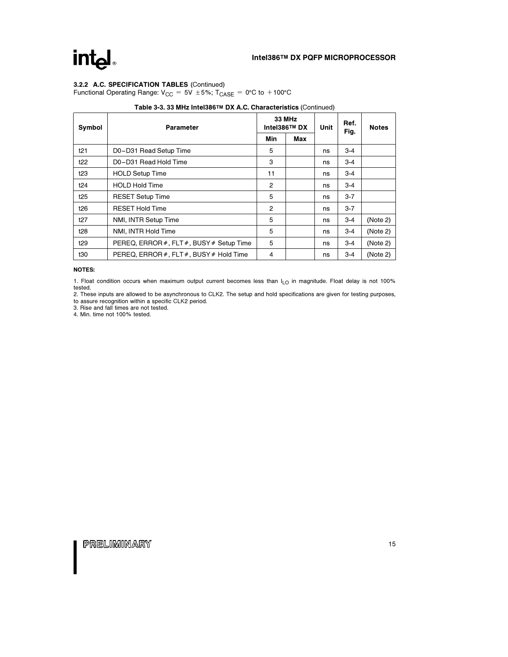### intd.

#### 3.2.2 A.C. SPECIFICATION TABLES (Continued)

Functional Operating Range:  $V_{CC} = 5V \pm 5\%$ ; T<sub>CASE</sub> = 0°C to +100°C

| Symbol          | <b>Parameter</b>                         |                | <b>33 MHz</b><br>Intel386™ DX | Unit | Ref.<br>Fig. | <b>Notes</b> |
|-----------------|------------------------------------------|----------------|-------------------------------|------|--------------|--------------|
|                 |                                          | Min            | Max                           |      |              |              |
| t21             | D0-D31 Read Setup Time                   | 5              |                               | ns   | $3 - 4$      |              |
| t22             | D0-D31 Read Hold Time                    | 3              |                               | ns   | $3-4$        |              |
| t <sub>23</sub> | <b>HOLD Setup Time</b>                   | 11             |                               | ns   | $3-4$        |              |
| t24             | <b>HOLD Hold Time</b>                    | $\overline{2}$ |                               | ns   | $3-4$        |              |
| t25             | <b>RESET Setup Time</b>                  | 5              |                               | ns   | $3 - 7$      |              |
| t26             | <b>RESET Hold Time</b>                   | 2              |                               | ns   | $3 - 7$      |              |
| t27             | NMI, INTR Setup Time                     | 5              |                               | ns   | $3 - 4$      | (Note 2)     |
| t28             | NMI, INTR Hold Time                      | 5              |                               | ns   | $3 - 4$      | (Note 2)     |
| t <sub>29</sub> | PEREQ, ERROR #, FLT #, BUSY # Setup Time | 5              |                               | ns   | $3 - 4$      | (Note 2)     |
| t30             | PEREQ, ERROR #, FLT #, BUSY # Hold Time  | 4              |                               | ns   | $3 - 4$      | (Note 2)     |

#### Table 3-3. 33 MHz Intel386TM DX A.C. Characteristics (Continued)

#### NOTES:

1. Float condition occurs when maximum output current becomes less than  $I_{LO}$  in magnitude. Float delay is not 100% tested.

2. These inputs are allowed to be asynchronous to CLK2. The setup and hold specifications are given for testing purposes, to assure recognition within a specific CLK2 period.

3. Rise and fall times are not tested. 4. Min. time not 100% tested.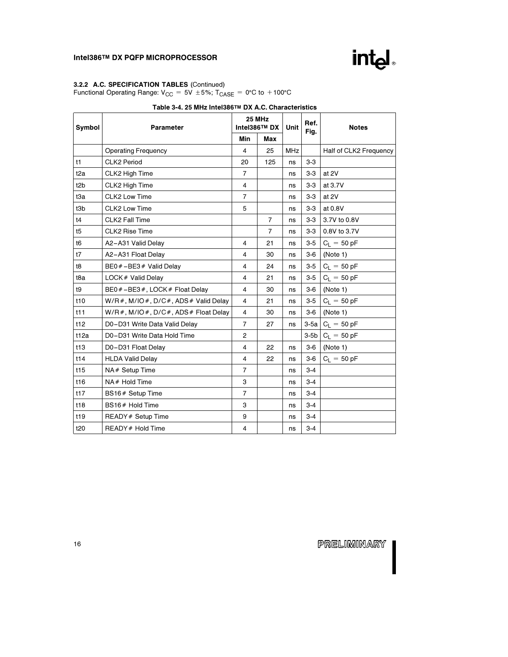#### 3.2.2 A.C. SPECIFICATION TABLES (Continued)

Functional Operating Range:  $V_{CC} = 5V \pm 5\%$ ; T<sub>CASE</sub> = 0°C to +100°C

| Symbol           | Parameter                              | <b>25 MHz</b><br>Intel386™ DX |                | Unit       | Ref.<br>Fig. | <b>Notes</b>           |  |
|------------------|----------------------------------------|-------------------------------|----------------|------------|--------------|------------------------|--|
|                  |                                        | Min                           | Max            |            |              |                        |  |
|                  | <b>Operating Frequency</b>             | $\overline{4}$                | 25             | <b>MHz</b> |              | Half of CLK2 Frequency |  |
| t1               | <b>CLK2 Period</b>                     | 20                            | 125            | ns         | $3-3$        |                        |  |
| t <sub>2a</sub>  | CLK2 High Time                         | $\overline{7}$                |                | ns         | $3-3$        | at 2V                  |  |
| t <sub>2</sub> b | CLK2 High Time                         | $\overline{4}$                |                | ns         | $3-3$        | at 3.7V                |  |
| t3a              | CLK2 Low Time                          | $\overline{7}$                |                | ns         | $3-3$        | at 2V                  |  |
| t3b              | CLK2 Low Time                          | 5                             |                | ns         | $3-3$        | at 0.8V                |  |
| t4               | <b>CLK2 Fall Time</b>                  |                               | $\overline{7}$ | ns         | $3-3$        | 3.7V to 0.8V           |  |
| t5               | CLK2 Rise Time                         |                               | $\overline{7}$ | ns         | $3-3$        | 0.8V to 3.7V           |  |
| t6               | A2-A31 Valid Delay                     | $\overline{4}$                | 21             | ns         | $3-5$        | $C_1 = 50 pF$          |  |
| t7               | A2-A31 Float Delay                     | $\overline{4}$                | 30             | ns         | $3-6$        | (Note 1)               |  |
| t8               | BE0 $#$ -BE3 $#$ Valid Delay           | 4                             | 24             | ns         | $3-5$        | $C_L = 50 pF$          |  |
| t8a              | LOCK # Valid Delay                     | $\overline{4}$                | 21             | ns         | $3-5$        | $C_L = 50 pF$          |  |
| t9               | BE0 #-BE3 #, LOCK # Float Delay        | $\overline{4}$                | 30             | ns         | $3-6$        | (Note 1)               |  |
| t10              | $W/R$ #, M/IO#, D/C#, ADS# Valid Delay | $\overline{4}$                | 21             | ns         | $3-5$        | $C_L = 50 pF$          |  |
| t11              | $W/R$ #, M/IO#, D/C#, ADS# Float Delay | $\overline{4}$                | 30             | ns         | $3-6$        | (Note 1)               |  |
| t12              | D0-D31 Write Data Valid Delay          | $\overline{7}$                | 27             | ns         | $3-5a$       | $C_{L} = 50 pF$        |  |
| t12a             | D0-D31 Write Data Hold Time            | $\overline{2}$                |                |            | $3-5b$       | $C_L = 50 pF$          |  |
| t13              | D0-D31 Float Delay                     | $\overline{4}$                | 22             | ns         | $3-6$        | (Note 1)               |  |
| t14              | <b>HLDA Valid Delay</b>                | $\overline{4}$                | 22             | ns         | $3-6$        | $C_L = 50 pF$          |  |
| t15              | $NA#$ Setup Time                       | $\overline{7}$                |                | ns         | $3 - 4$      |                        |  |
| t16              | NA# Hold Time                          | 3                             |                | ns         | $3 - 4$      |                        |  |
| t17              | BS16# Setup Time                       | $\overline{7}$                |                | ns         | $3 - 4$      |                        |  |
| t18              | BS16# Hold Time                        | 3                             |                | ns         | $3 - 4$      |                        |  |
| t <sub>19</sub>  | READY # Setup Time                     | 9                             |                | ns         | $3 - 4$      |                        |  |
| t20              | READY # Hold Time                      | $\overline{4}$                |                | ns         | $3 - 4$      |                        |  |

#### Table 3-4. 25 MHz Intel386TM DX A.C. Characteristics

PRELIMINARY

intd.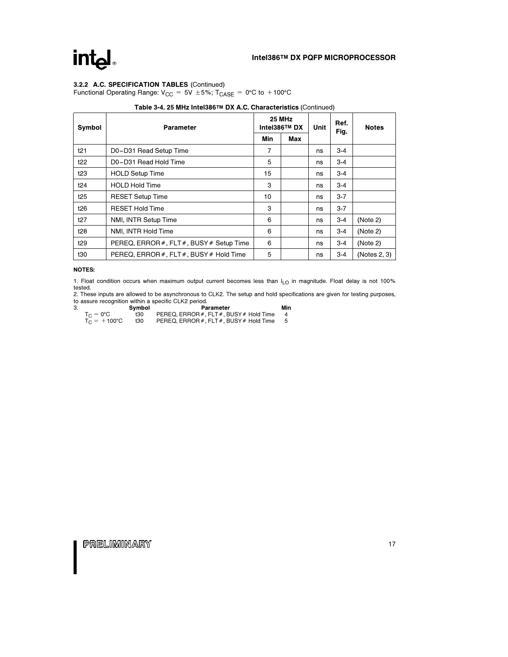### intd.

#### 3.2.2 A.C. SPECIFICATION TABLES (Continued)

Functional Operating Range:  $V_{CC} = 5V \pm 5\%$ ; T<sub>CASE</sub> = 0°C to +100°C

| Symbol          | <b>Parameter</b>                         | 25 MHz<br>Intel386™ DX |     | Unit | Ref.<br>Fig. | <b>Notes</b> |
|-----------------|------------------------------------------|------------------------|-----|------|--------------|--------------|
|                 |                                          |                        | Max |      |              |              |
| t21             | D0-D31 Read Setup Time                   | 7                      |     | ns   | $3 - 4$      |              |
| t22             | D0-D31 Read Hold Time                    | 5                      |     | ns   | $3 - 4$      |              |
| t <sub>23</sub> | <b>HOLD Setup Time</b>                   | 15                     |     | ns   | $3 - 4$      |              |
| t24             | <b>HOLD Hold Time</b>                    | 3                      |     | ns   | $3 - 4$      |              |
| t25             | <b>RESET Setup Time</b>                  | 10                     |     | ns   | $3 - 7$      |              |
| t26             | <b>RESET Hold Time</b>                   | 3                      |     | ns   | $3 - 7$      |              |
| t27             | NMI, INTR Setup Time                     | 6                      |     | ns   | $3 - 4$      | (Note 2)     |
| t28             | NMI, INTR Hold Time                      | 6                      |     | ns   | $3 - 4$      | (Note 2)     |
| t29             | PEREQ, ERROR #, FLT #, BUSY # Setup Time | 6                      |     | ns   | $3 - 4$      | (Note 2)     |
| t30             | PEREQ, ERROR #, FLT #, BUSY # Hold Time  | 5                      |     | ns   | $3 - 4$      | (Notes 2, 3) |

#### Table 3-4. 25 MHz Intel386TM DX A.C. Characteristics (Continued)

#### NOTES:

1. Float condition occurs when maximum output current becomes less than  $I_{LO}$  in magnitude. Float delay is not 100% tested.

2. These inputs are allowed to be asynchronous to CLK2. The setup and hold specifications are given for testing purposes,<br>to assure recognition within a specific CLK2 period. Min<br>3.

|                       | Symbol | Parameter                               | Min |
|-----------------------|--------|-----------------------------------------|-----|
| $T_{C} = 0^{\circ}C$  | t30    | PEREQ. ERROR #. FLT #. BUSY # Hold Time |     |
| $T_C = +100^{\circ}C$ | t30    | PEREQ, ERROR #, FLT #, BUSY # Hold Time | -5  |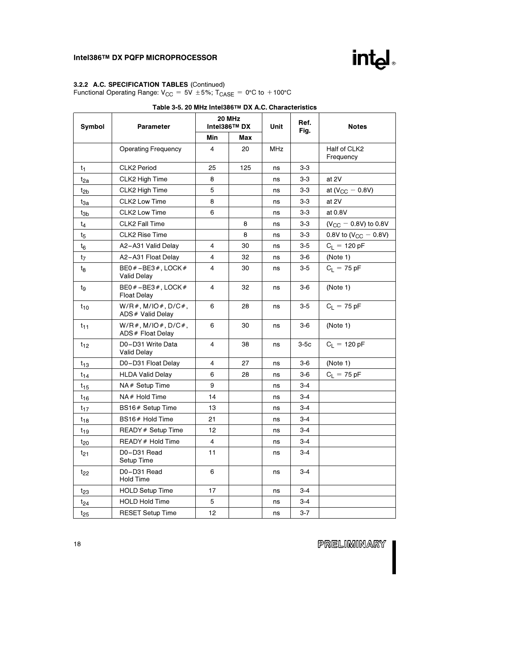#### 3.2.2 A.C. SPECIFICATION TABLES (Continued)

Functional Operating Range:  $V_{CC} = 5V \pm 5\%$ ; T<sub>CASE</sub> = 0°C to +100°C

| Symbol          | <b>Parameter</b>                            | <b>20 MHz</b><br>Intel386™ DX |     | Table 0-9. ZV IIIIIZ IIIIGIOOO ····· DA A.O. OHARGOGHSHOS<br>Unit | Ref.<br>Fig. | <b>Notes</b>              |  |
|-----------------|---------------------------------------------|-------------------------------|-----|-------------------------------------------------------------------|--------------|---------------------------|--|
|                 |                                             | Min                           | Max |                                                                   |              |                           |  |
|                 | <b>Operating Frequency</b>                  | $\overline{4}$                | 20  | MHz                                                               |              | Half of CLK2<br>Frequency |  |
| t <sub>1</sub>  | <b>CLK2 Period</b>                          | 25                            | 125 | ns                                                                | $3-3$        |                           |  |
| $t_{2a}$        | CLK2 High Time                              | 8                             |     | ns                                                                | $3-3$        | at 2V                     |  |
| t <sub>2b</sub> | CLK2 High Time                              | 5                             |     | ns                                                                | $3-3$        | at ( $V_{CC}$ - 0.8V)     |  |
| tзa             | CLK2 Low Time                               | 8                             |     | ns                                                                | $3-3$        | at 2V                     |  |
| tзь             | CLK2 Low Time                               | 6                             |     | ns                                                                | $3-3$        | at 0.8V                   |  |
| t4              | <b>CLK2 Fall Time</b>                       |                               | 8   | ns                                                                | $3-3$        | $(V_{CC} - 0.8V)$ to 0.8V |  |
| t5              | <b>CLK2 Rise Time</b>                       |                               | 8   | ns                                                                | $3-3$        | 0.8V to $(V_{CC} - 0.8V)$ |  |
| $t_6$           | A2-A31 Valid Delay                          | 4                             | 30  | ns                                                                | $3-5$        | $C_L = 120 pF$            |  |
| t <sub>7</sub>  | A2-A31 Float Delay                          | 4                             | 32  | ns                                                                | $3-6$        | (Note 1)                  |  |
| tg              | $BE0# - BE3#$ , LOCK#<br><b>Valid Delay</b> | 4                             | 30  | ns                                                                | $3-5$        | $C_L = 75 pF$             |  |
| tg              | $BE0# - BE3#$ , LOCK#<br><b>Float Delay</b> | $\overline{4}$                | 32  | ns                                                                | $3-6$        | (Note 1)                  |  |
| $t_{10}$        | $W/R$ #, M/IO #, D/C #,<br>ADS# Valid Delay | 6                             | 28  | ns                                                                | $3-5$        | $C_L = 75$ pF             |  |
| $t_{11}$        | $W/R$ #, M/IO#, D/C#,<br>ADS # Float Delay  | 6                             | 30  | ns                                                                | $3-6$        | (Note 1)                  |  |
| $t_{12}$        | D0-D31 Write Data<br><b>Valid Delay</b>     | 4                             | 38  | ns                                                                | $3-5c$       | $C_L = 120 pF$            |  |
| $t_{13}$        | D0-D31 Float Delay                          | 4                             | 27  | ns                                                                | $3-6$        | (Note 1)                  |  |
| $t_{14}$        | <b>HLDA Valid Delay</b>                     | 6                             | 28  | ns                                                                | $3-6$        | $C_L = 75 pF$             |  |
| $t_{15}$        | NA# Setup Time                              | 9                             |     | ns                                                                | $3 - 4$      |                           |  |
| $t_{16}$        | NA# Hold Time                               | 14                            |     | ns                                                                | $3 - 4$      |                           |  |
| $t_{17}$        | BS16# Setup Time                            | 13                            |     | ns                                                                | $3 - 4$      |                           |  |
| t <sub>18</sub> | BS16# Hold Time                             | 21                            |     | ns                                                                | $3 - 4$      |                           |  |
| t <sub>19</sub> | READY # Setup Time                          | 12                            |     | ns                                                                | 3-4          |                           |  |
| $t_{20}$        | READY # Hold Time                           | 4                             |     | ns                                                                | $3 - 4$      |                           |  |
| $t_{21}$        | D0-D31 Read<br>Setup Time                   | 11                            |     | ns                                                                | $3 - 4$      |                           |  |
| $t_{22}$        | D0-D31 Read<br><b>Hold Time</b>             | 6                             |     | ns                                                                | $3 - 4$      |                           |  |
| $t_{23}$        | <b>HOLD Setup Time</b>                      | 17                            |     | ns                                                                | $3 - 4$      |                           |  |
| t <sub>24</sub> | <b>HOLD Hold Time</b>                       | 5                             |     | ns                                                                | 3-4          |                           |  |
| $t_{25}$        | <b>RESET Setup Time</b>                     | 12                            |     | ns                                                                | $3 - 7$      |                           |  |

#### Table 3-5. 20 MHz Intel386TM DX A.C. Characteristics

PRELIMINARY

intel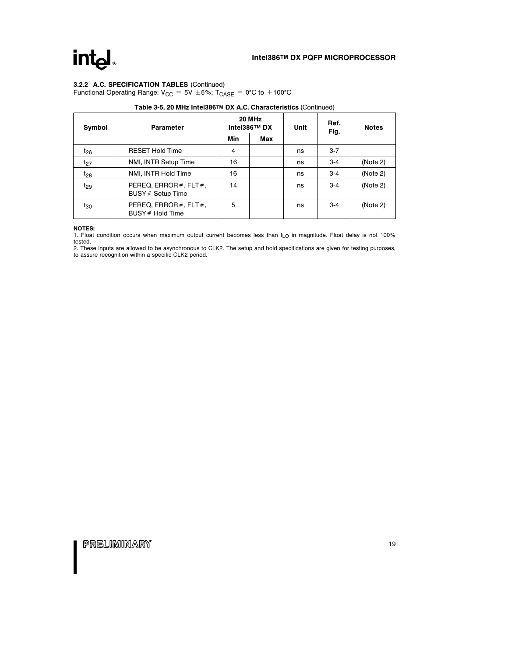### intel.

#### 3.2.2 A.C. SPECIFICATION TABLES (Continued)

Functional Operating Range:  $V_{CC} = 5V \pm 5\%$ ; T<sub>CASE</sub> = 0°C to +100°C

| Symbol          | Parameter                                         |     | <b>20 MHz</b><br>Intel386™ DX | Unit | Ref.<br>Fig. | <b>Notes</b> |
|-----------------|---------------------------------------------------|-----|-------------------------------|------|--------------|--------------|
|                 |                                                   | Min | Max                           |      |              |              |
| $t_{26}$        | <b>RESET Hold Time</b>                            | 4   |                               | ns   | $3 - 7$      |              |
| $t_{27}$        | NMI, INTR Setup Time                              | 16  |                               | ns   | $3 - 4$      | (Note 2)     |
| $t_{28}$        | NMI, INTR Hold Time                               | 16  |                               | ns   | $3 - 4$      | (Note 2)     |
| $t_{29}$        | PEREQ, ERROR $#$ , FLT $#$ ,<br>BUSY # Setup Time | 14  |                               | ns   | $3 - 4$      | (Note 2)     |
| t <sub>30</sub> | PEREQ, ERROR $#$ , FLT $#$ ,<br>BUSY # Hold Time  | 5   |                               | ns   | $3 - 4$      | (Note 2)     |

#### Table 3-5. 20 MHz Intel386TM DX A.C. Characteristics (Continued)

#### NOTES:

1. Float condition occurs when maximum output current becomes less than  $I_{LO}$  in magnitude. Float delay is not 100%

tested. 2. These inputs are allowed to be asynchronous to CLK2. The setup and hold specifications are given for testing purposes, to assure recognition within a specific CLK2 period.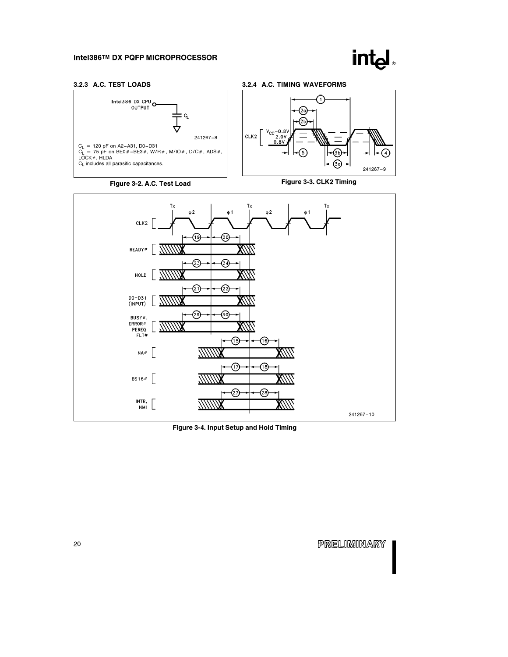

241267 –9

#### 3.2.3 A.C. TEST LOADS







Figure 3-3. CLK2 Timing



Figure 3-4. Input Setup and Hold Timing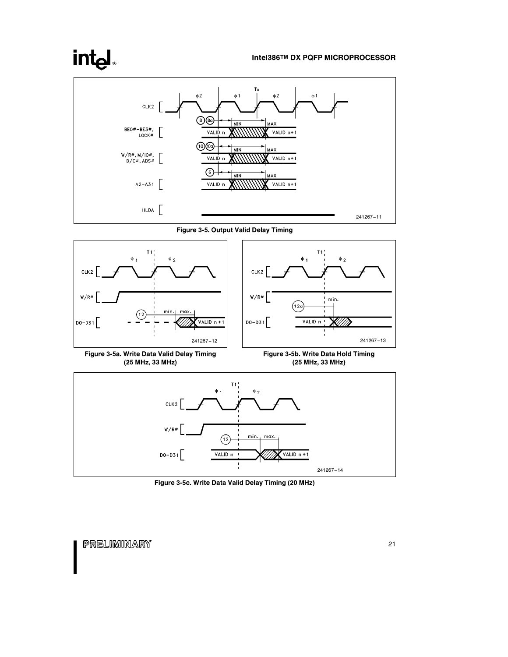### intel



Figure 3-5. Output Valid Delay Timing





Figure 3-5c. Write Data Valid Delay Timing (20 MHz)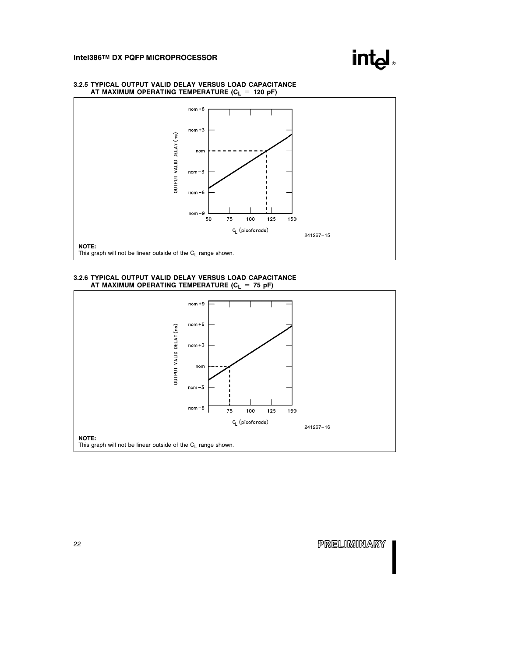



#### 3.2.5 TYPICAL OUTPUT VALID DELAY VERSUS LOAD CAPACITANCE AT MAXIMUM OPERATING TEMPERATURE ( $C_L = 120$  pF)

#### 3.2.6 TYPICAL OUTPUT VALID DELAY VERSUS LOAD CAPACITANCE AT MAXIMUM OPERATING TEMPERATURE  $(C_L = 75 \text{ pF})$

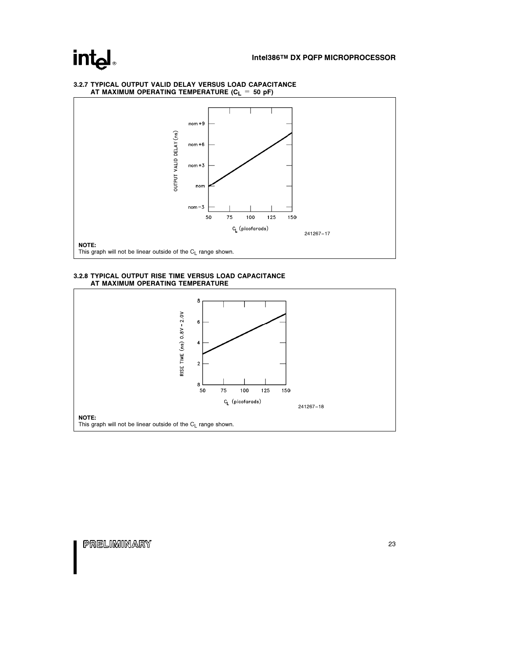### intel.

#### $nom + 9$ OUTPUT VALID DELAY (ns)  $nom + 6$  $nom + 3$ nom  $\mathsf{nom}\,\texttt{-3}$ 50 75 100 125 150 C<sub>L</sub> (picofarads) 241267 –17 NOTE: This graph will not be linear outside of the  $C_L$  range shown.

### 3.2.7 TYPICAL OUTPUT VALID DELAY VERSUS LOAD CAPACITANCE<br>AT MAXIMUM OPERATING TEMPERATURE (C<sub>L</sub> = 50 pF)

3.2.8 TYPICAL OUTPUT RISE TIME VERSUS LOAD CAPACITANCE AT MAXIMUM OPERATING TEMPERATURE